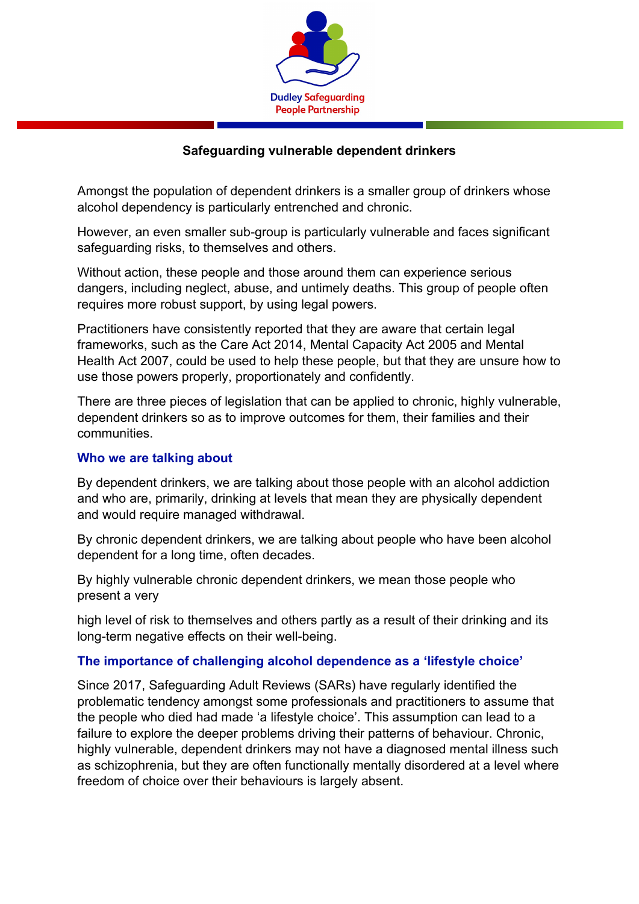

### **Safeguarding vulnerable dependent drinkers**

Amongst the population of dependent drinkers is a smaller group of drinkers whose alcohol dependency is particularly entrenched and chronic.

However, an even smaller sub-group is particularly vulnerable and faces significant safeguarding risks, to themselves and others.

Without action, these people and those around them can experience serious dangers, including neglect, abuse, and untimely deaths. This group of people often requires more robust support, by using legal powers.

Practitioners have consistently reported that they are aware that certain legal frameworks, such as the Care Act 2014, Mental Capacity Act 2005 and Mental Health Act 2007, could be used to help these people, but that they are unsure how to use those powers properly, proportionately and confidently.

There are three pieces of legislation that can be applied to chronic, highly vulnerable, dependent drinkers so as to improve outcomes for them, their families and their communities.

#### **Who we are talking about**

By dependent drinkers, we are talking about those people with an alcohol addiction and who are, primarily, drinking at levels that mean they are physically dependent and would require managed withdrawal.

By chronic dependent drinkers, we are talking about people who have been alcohol dependent for a long time, often decades.

By highly vulnerable chronic dependent drinkers, we mean those people who present a very

high level of risk to themselves and others partly as a result of their drinking and its long-term negative effects on their well-being.

#### **The importance of challenging alcohol dependence as a 'lifestyle choice'**

Since 2017, Safeguarding Adult Reviews (SARs) have regularly identified the problematic tendency amongst some professionals and practitioners to assume that the people who died had made 'a lifestyle choice'. This assumption can lead to a failure to explore the deeper problems driving their patterns of behaviour. Chronic, highly vulnerable, dependent drinkers may not have a diagnosed mental illness such as schizophrenia, but they are often functionally mentally disordered at a level where freedom of choice over their behaviours is largely absent.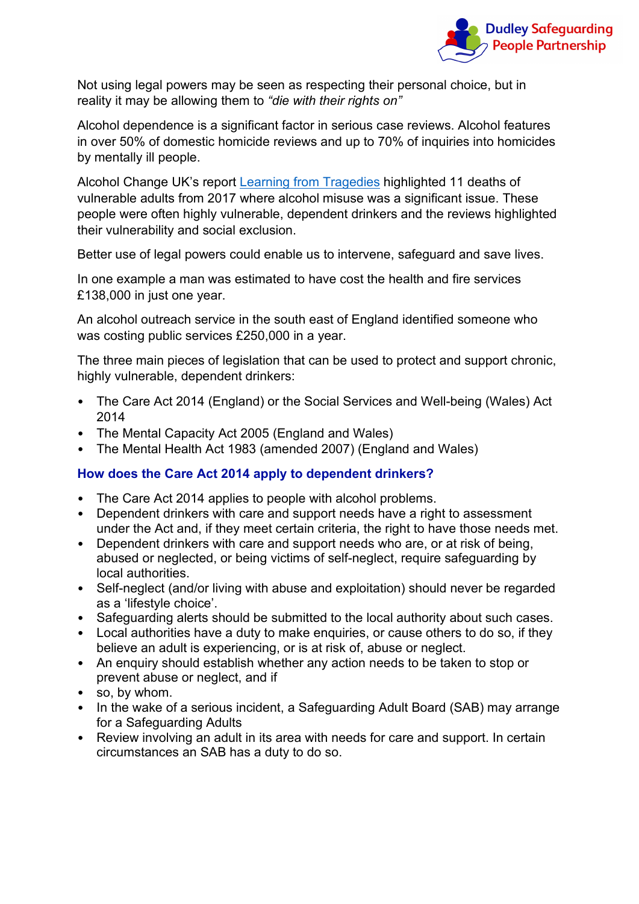

Not using legal powers may be seen as respecting their personal choice, but in reality it may be allowing them to *"die with their rights on"*

Alcohol dependence is a significant factor in serious case reviews. Alcohol features in over 50% of domestic homicide reviews and up to 70% of inquiries into homicides by mentally ill people.

Alcohol Change UK's report [Learning from](https://alcoholchange.org.uk/publication/learning-from-tragedies-an-analysis-of-alcohol-related-safeguarding-adult-reviews-published-in-2017) [Tragedies](https://alcoholchange.org.uk/publication/learning-from-tragedies-an-analysis-of-alcohol-related-safeguarding-adult-reviews-published-in-2017) highlighted 11 deaths of vulnerable adults from 2017 where alcohol misuse was a significant issue. These people were often highly vulnerable, dependent drinkers and the reviews highlighted their vulnerability and social exclusion.

Better use of legal powers could enable us to intervene, safeguard and save lives.

In one example a man was estimated to have cost the health and fire services £138,000 in just one year.

An alcohol outreach service in the south east of England identified someone who was costing public services £250,000 in a year.

The three main pieces of legislation that can be used to protect and support chronic, highly vulnerable, dependent drinkers:

- The Care Act 2014 (England) or the Social Services and Well-being (Wales) Act 2014
- The Mental Capacity Act 2005 (England and Wales)
- The Mental Health Act 1983 (amended 2007) (England and Wales)

#### **How does the Care Act 2014 apply to dependent drinkers?**

- The Care Act 2014 applies to people with alcohol problems.
- Dependent drinkers with care and support needs have a right to assessment under the Act and, if they meet certain criteria, the right to have those needs met.
- Dependent drinkers with care and support needs who are, or at risk of being, abused or neglected, or being victims of self-neglect, require safeguarding by local authorities.
- Self-neglect (and/or living with abuse and exploitation) should never be regarded as a 'lifestyle choice'.
- Safeguarding alerts should be submitted to the local authority about such cases.
- Local authorities have a duty to make enquiries, or cause others to do so, if they believe an adult is experiencing, or is at risk of, abuse or neglect.
- An enquiry should establish whether any action needs to be taken to stop or prevent abuse or neglect, and if
- so, by whom.
- In the wake of a serious incident, a Safeguarding Adult Board (SAB) may arrange for a Safeguarding Adults
- Review involving an adult in its area with needs for care and support. In certain circumstances an SAB has a duty to do so.